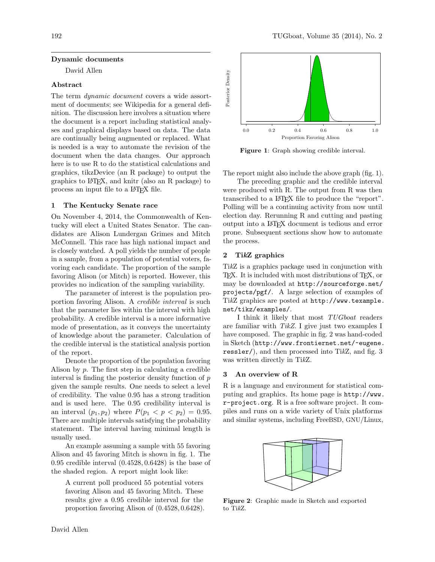# Dynamic documents

David Allen

# Abstract

The term *dynamic document* covers a wide assortment of documents; see Wikipedia for a general definition. The discussion here involves a situation where the document is a report including statistical analyses and graphical displays based on data. The data are continually being augmented or replaced. What is needed is a way to automate the revision of the document when the data changes. Our approach here is to use R to do the statistical calculations and graphics, tikzDevice (an R package) to output the graphics to LATEX, and knitr (also an R package) to process an input file to a LATEX file.

# 1 The Kentucky Senate race

On November 4, 2014, the Commonwealth of Kentucky will elect a United States Senator. The candidates are Alison Lundergan Grimes and Mitch McConnell. This race has high national impact and is closely watched. A poll yields the number of people in a sample, from a population of potential voters, favoring each candidate. The proportion of the sample favoring Alison (or Mitch) is reported. However, this provides no indication of the sampling variability.

The parameter of interest is the population proportion favoring Alison. A credible interval is such that the parameter lies within the interval with high probability. A credible interval is a more informative mode of presentation, as it conveys the uncertainty of knowledge about the parameter. Calculation of the credible interval is the statistical analysis portion of the report.

Denote the proportion of the population favoring Alison by  $p$ . The first step in calculating a credible interval is finding the posterior density function of  $p$ given the sample results. One needs to select a level of credibility. The value 0.95 has a strong tradition and is used here. The 0.95 credibility interval is an interval  $(p_1, p_2)$  where  $P(p_1 < p < p_2) = 0.95$ . There are multiple intervals satisfying the probability statement. The interval having minimal length is usually used.

An example assuming a sample with 55 favoring Alison and 45 favoring Mitch is shown in fig. [1.](#page-0-0) The 0.95 credible interval (0.4528, 0.6428) is the base of the shaded region. A report might look like:

A current poll produced 55 potential voters favoring Alison and 45 favoring Mitch. These results give a 0.95 credible interval for the proportion favoring Alison of (0.4528, 0.6428).



<span id="page-0-0"></span>Figure 1: Graph showing credible interval.

The report might also include the above graph (fig. [1\)](#page-0-0).

The preceding graphic and the credible interval were produced with R. The output from R was then transcribed to a LATEX file to produce the "report". Polling will be a continuing activity from now until election day. Rerunning R and cutting and pasting output into a LATEX document is tedious and error prone. Subsequent sections show how to automate the process.

# 2 TikZ graphics

TikZ is a graphics package used in conjunction with TEX. It is included with most distributions of TEX, or may be downloaded at [http://sourceforge.net/](http://sourceforge.net/projects/pgf/) [projects/pgf/](http://sourceforge.net/projects/pgf/). A large selection of examples of TikZ graphics are posted at [http://www.texample.](http://www.texample.net/tikz/examples/) [net/tikz/examples/](http://www.texample.net/tikz/examples/).

I think it likely that most TUGboat readers are familiar with TikZ. I give just two examples I have composed. The graphic in fig. [2](#page-0-1) was hand-coded in Sketch ([http://www.frontiernet.net/~eugene.](http://www.frontiernet.net/~eugene.ressler/) [ressler/](http://www.frontiernet.net/~eugene.ressler/)), and then processed into TikZ, and fig. [3](#page-1-0) was written directly in TikZ.

#### 3 An overview of R

R is a language and environment for statistical computing and graphics. Its home page is [http://www.](http://www.r-project.org) [r-project.org](http://www.r-project.org). R is a free software project. It compiles and runs on a wide variety of Unix platforms and similar systems, including FreeBSD, GNU/Linux,



<span id="page-0-1"></span>Figure 2: Graphic made in Sketch and exported to TikZ.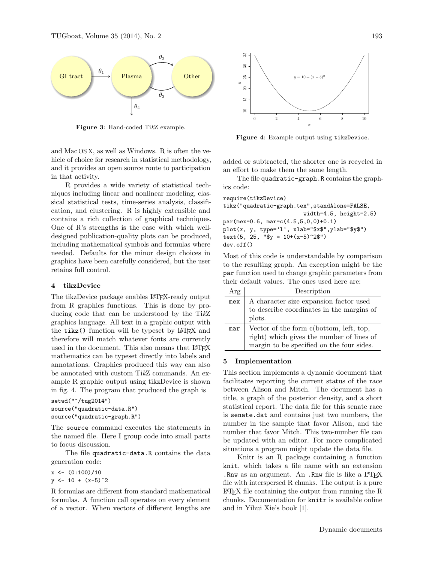

<span id="page-1-0"></span>Figure 3: Hand-coded TikZ example.

and Mac OS X, as well as Windows. R is often the vehicle of choice for research in statistical methodology, and it provides an open source route to participation in that activity.

R provides a wide variety of statistical techniques including linear and nonlinear modeling, classical statistical tests, time-series analysis, classification, and clustering. R is highly extensible and contains a rich collection of graphical techniques. One of R's strengths is the ease with which welldesigned publication-quality plots can be produced, including mathematical symbols and formulas where needed. Defaults for the minor design choices in graphics have been carefully considered, but the user retains full control.

# 4 tikzDevice

The tikzDevice package enables LAT<sub>EX</sub>-ready output from R graphics functions. This is done by producing code that can be understood by the TikZ graphics language. All text in a graphic output with the tikz() function will be typeset by L<sup>AT</sup>EX and therefore will match whatever fonts are currently used in the document. This also means that LATEX mathematics can be typeset directly into labels and annotations. Graphics produced this way can also be annotated with custom TikZ commands. An example R graphic output using tikzDevice is shown in fig. [4.](#page-1-1) The program that produced the graph is

```
setwd("~/tug2014")
source("quadratic-data.R")
source("quadratic-graph.R")
```
The source command executes the statements in the named file. Here I group code into small parts to focus discussion.

The file quadratic-data.R contains the data generation code:

 $x \leftarrow (0:100)/10$  $y \leftarrow 10 + (x-5)^2$ 

R formulas are different from standard mathematical formulas. A function call operates on every element of a vector. When vectors of different lengths are



<span id="page-1-1"></span>Figure 4: Example output using tikzDevice.

added or subtracted, the shorter one is recycled in an effort to make them the same length.

The file quadratic-graph.R contains the graphics code:

```
require(tikzDevice)
tikz("quadratic-graph.tex",standAlone=FALSE,
                        width=4.5, height=2.5)
par(mex=0.6, mar=c(4.5,5,0,0)+0.1)
plot(x, y, type='l', xlab="$x$",ylab="$y$")
text(5, 25, "$y = 10+(x-5)^2$")
dev.off()
```
Most of this code is understandable by comparison to the resulting graph. An exception might be the par function used to change graphic parameters from their default values. The ones used here are:

| Arg | Description                               |
|-----|-------------------------------------------|
| mex | A character size expansion factor used    |
|     | to describe coordinates in the margins of |
|     | plots.                                    |
| mar | Vector of the form c(bottom, left, top,   |
|     | right) which gives the number of lines of |
|     | margin to be specified on the four sides. |

#### 5 Implementation

This section implements a dynamic document that facilitates reporting the current status of the race between Alison and Mitch. The document has a title, a graph of the posterior density, and a short statistical report. The data file for this senate race is senate.dat and contains just two numbers, the number in the sample that favor Alison, and the number that favor Mitch. This two-number file can be updated with an editor. For more complicated situations a program might update the data file.

Knitr is an R package containing a function knit, which takes a file name with an extension . Rnw as an argument. An . Rnw file is like a  $LATEX$ file with interspersed R chunks. The output is a pure LATEX file containing the output from running the R chunks. Documentation for knitr is available online and in Yihui Xie's book [\[1\]](#page-2-0).